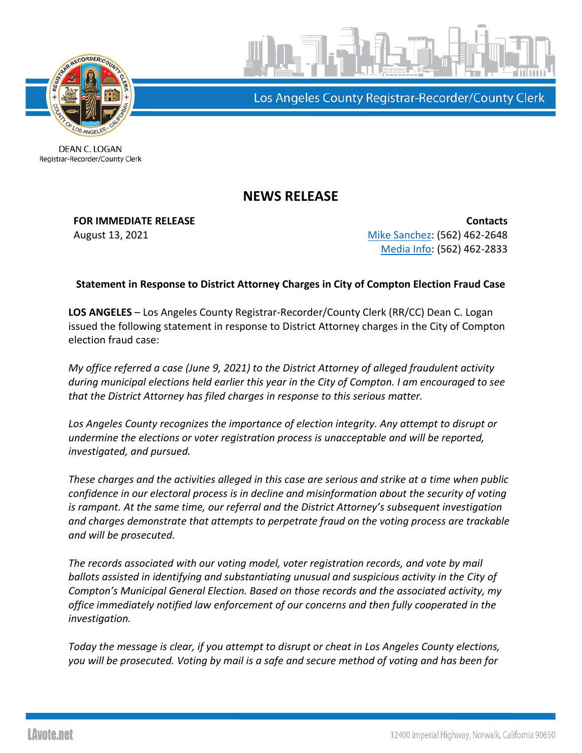

Los Angeles County Registrar-Recorder/County Clerk

DEAN C. LOGAN Registrar-Recorder/County Clerk

## **NEWS RELEASE**

**FOR IMMEDIATE RELEASE CONTACTS** August 13, 2021 **[Mike Sanchez:](mailto:msanchez@rrcc.lacounty.gov)** (562) 462-2648 [Media Info:](mailto:mediainfo@rrcc.lacounty.gov) (562) 462-2833

## **Statement in Response to District Attorney Charges in City of Compton Election Fraud Case**

**LOS ANGELES** – Los Angeles County Registrar-Recorder/County Clerk (RR/CC) Dean C. Logan issued the following statement in response to District Attorney charges in the City of Compton election fraud case:

*My office referred a case (June 9, 2021) to the District Attorney of alleged fraudulent activity during municipal elections held earlier this year in the City of Compton. I am encouraged to see that the District Attorney has filed charges in response to this serious matter.* 

*Los Angeles County recognizes the importance of election integrity. Any attempt to disrupt or undermine the elections or voter registration process is unacceptable and will be reported, investigated, and pursued.*

*These charges and the activities alleged in this case are serious and strike at a time when public confidence in our electoral process is in decline and misinformation about the security of voting is rampant. At the same time, our referral and the District Attorney's subsequent investigation and charges demonstrate that attempts to perpetrate fraud on the voting process are trackable and will be prosecuted.*

*The records associated with our voting model, voter registration records, and vote by mail ballots assisted in identifying and substantiating unusual and suspicious activity in the City of Compton's Municipal General Election. Based on those records and the associated activity, my office immediately notified law enforcement of our concerns and then fully cooperated in the investigation.*

*Today the message is clear, if you attempt to disrupt or cheat in Los Angeles County elections, you will be prosecuted. Voting by mail is a safe and secure method of voting and has been for*